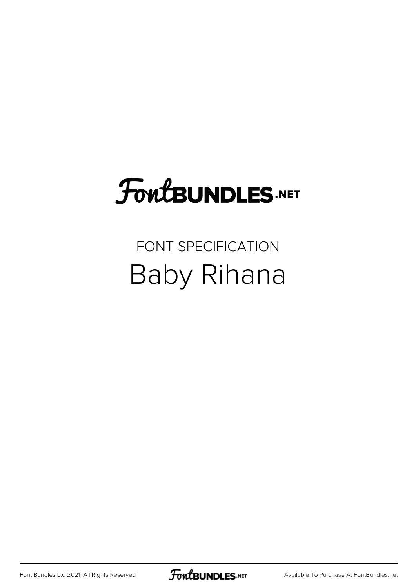## **FoutBUNDLES.NET**

#### FONT SPECIFICATION Baby Rihana

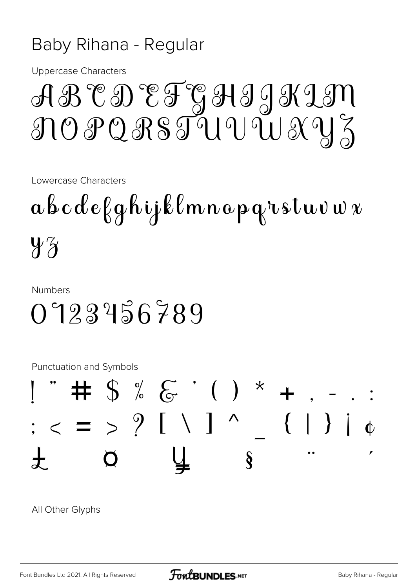#### Baby Rihana - Regular

**Uppercase Characters** 

### ABCDEFGHIJKIM NOPQRSTUVUXYZ

Lowercase Characters

 $a\, b\, c\, d\, e\, \beta\, g\, h\,$ i j $\,\Bbbk\, l\, m\, n\, a\, p\, q$ rstuv $\,$ v $\,$  $4\%$ 

**Numbers** 

#### 0723456789

**Punctuation and Symbols** 



All Other Glyphs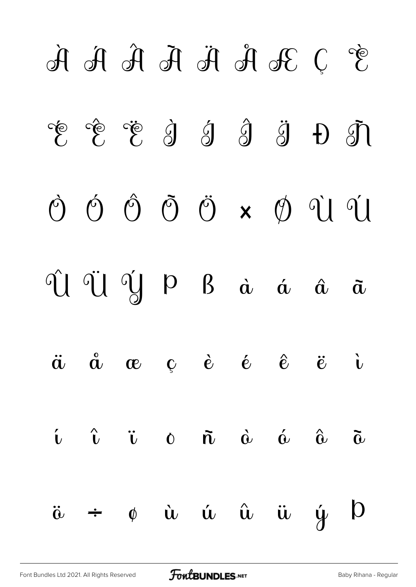# $\mathcal{F}$  J R  $\mathcal{F}$   $\mathcal{F}$   $\mathcal{F}$   $\mathcal{F}$   $\mathcal{F}$   $\mathcal{F}$   $\mathcal{F}$  $E$  Ê Ë S S S H T Ò Ó Ô Õ Ö × Ø Ù Ú Û Ü Ý Þ ß à á â ã ä å æ ç è é ê ë ì  $\mathbf{i}$   $\hat{\mathbf{i}}$   $\mathbf{v}$   $\mathbf{0}$   $\mathbf{\tilde{n}}$   $\hat{\mathbf{0}}$   $\hat{\mathbf{0}}$   $\hat{\mathbf{0}}$   $\hat{\mathbf{0}}$  $\ddot{\omega}$   $\div$   $\phi$   $\dot{\omega}$   $\dot{\omega}$   $\ddot{\omega}$   $\ddot{\omega}$   $\dot{\omega}$   $\dot{\omega}$   $\dot{\omega}$   $\dot{\omega}$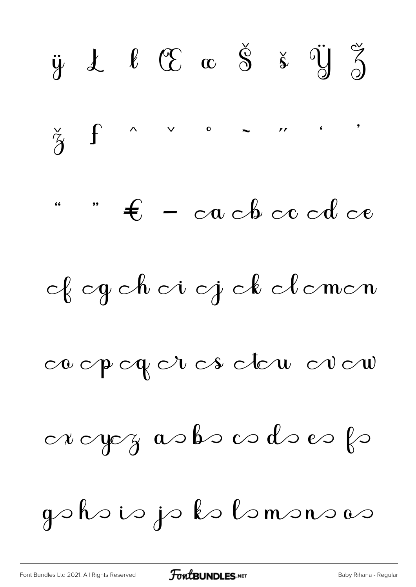$\check{\mathbf{s}}$   $\check{\mathbf{y}}$   $\check{\mathbf{s}}$  $\ell$   $\mathfrak{C}$   $\alpha$   $\check{\mathbf{S}}$  $\ddot{y}$   $\dot{\lambda}$  $\check{z}$  $\int$  $\vee$  $\mathbf{r}$   $\mathbf{r}$   $\mathbf{r}$   $\mathbf{r}$  $\wedge$  $\mathbf{o}$  $-$  cach cc cd ce  $\epsilon$ of og ch oi oj ck clomon ca opogor os dou oro  $\alpha$  ap $\gamma$  as be a decepted gohoio jo kolomonovo

**FoutBUNDLES**.NET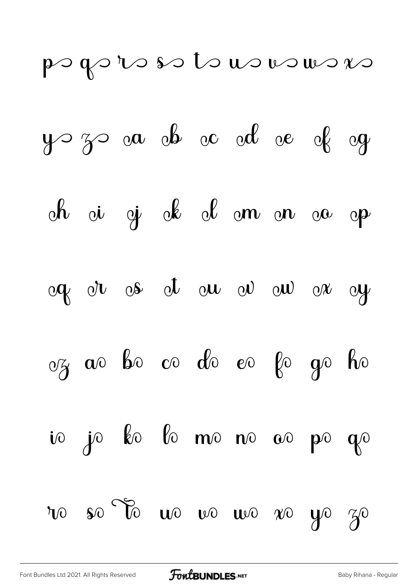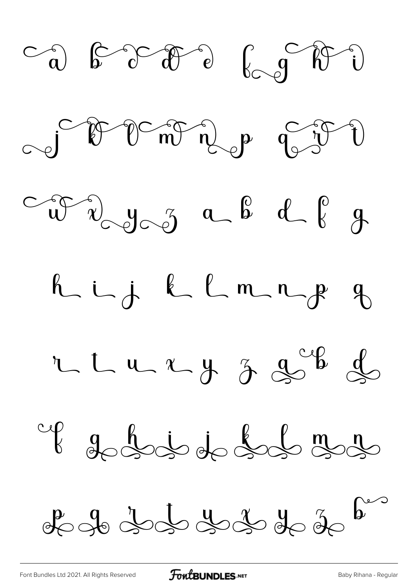